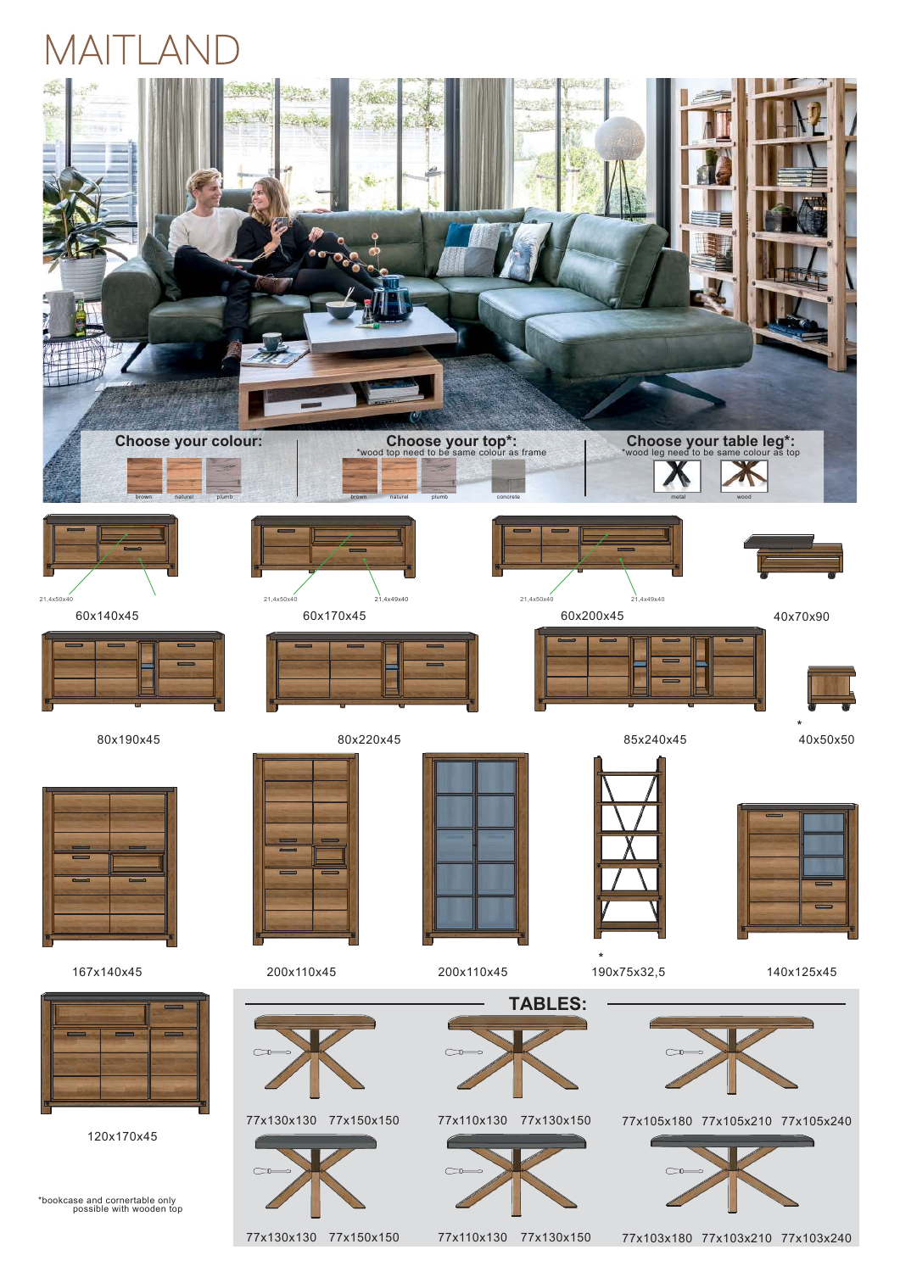# MAITLAND